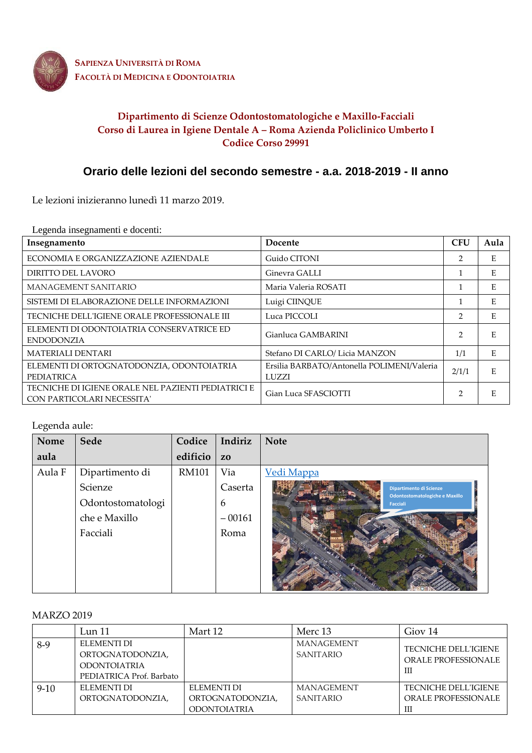

**SAPIENZA UNIVERSITÀ DI ROMA FACOLTÀ DI MEDICINA E ODONTOIATRIA**

## **Dipartimento di Scienze Odontostomatologiche e Maxillo-Facciali Corso di Laurea in Igiene Dentale A – Roma Azienda Policlinico Umberto I Codice Corso 29991**

# **Orario delle lezioni del secondo semestre - a.a. 2018-2019 - II anno**

Le lezioni inizieranno lunedì 11 marzo 2019.

Legenda insegnamenti e docenti:

| Insegnamento                                                                     | Docente                                             | <b>CFU</b>     | Aula |
|----------------------------------------------------------------------------------|-----------------------------------------------------|----------------|------|
| ECONOMIA E ORGANIZZAZIONE AZIENDALE                                              | Guido CITONI                                        | 2              | E    |
| DIRITTO DEL LAVORO                                                               | Ginevra GALLI                                       |                | Е    |
| MANAGEMENT SANITARIO                                                             | Maria Valeria ROSATI                                |                | E    |
| SISTEMI DI ELABORAZIONE DELLE INFORMAZIONI                                       | Luigi CIINQUE                                       |                | E    |
| TECNICHE DELL'IGIENE ORALE PROFESSIONALE III                                     | Luca PICCOLI                                        | 2              | E    |
| ELEMENTI DI ODONTOIATRIA CONSERVATRICE ED<br><b>ENDODONZIA</b>                   | Gianluca GAMBARINI                                  | $\overline{2}$ | E.   |
| <b>MATERIALI DENTARI</b>                                                         | Stefano DI CARLO/ Licia MANZON                      | 1/1            | E    |
| ELEMENTI DI ORTOGNATODONZIA, ODONTOIATRIA<br><b>PEDIATRICA</b>                   | Ersilia BARBATO/Antonella POLIMENI/Valeria<br>LUZZI | 2/1/1          | E    |
| TECNICHE DI IGIENE ORALE NEL PAZIENTI PEDIATRICI E<br>CON PARTICOLARI NECESSITA' | Gian Luca SFASCIOTTI                                | 2              | E    |

#### Legenda aule:

| Nome   | Sede              | Codice       | Indiriz        | <b>Note</b>                                       |
|--------|-------------------|--------------|----------------|---------------------------------------------------|
| aula   |                   | edificio     | Z <sub>0</sub> |                                                   |
| Aula F | Dipartimento di   | <b>RM101</b> | Via            | Vedi Mappa                                        |
|        | Scienze           |              | Caserta        | Dipartimento di Scienze                           |
|        | Odontostomatologi |              | 6              | Odontostomatologiche e Maxillo<br><b>Facciali</b> |
|        | che e Maxillo     |              | $-00161$       |                                                   |
|        | Facciali          |              | Roma           |                                                   |
|        |                   |              |                |                                                   |
|        |                   |              |                |                                                   |
|        |                   |              |                |                                                   |
|        |                   |              |                |                                                   |

#### MARZO 2019

|          | Lun $11$                                                                           | Mart 12                                                | Merc 13                               | Giov 14                                                        |
|----------|------------------------------------------------------------------------------------|--------------------------------------------------------|---------------------------------------|----------------------------------------------------------------|
| $8-9$    | ELEMENTI DI<br>ORTOGNATODONZIA,<br><b>ODONTOIATRIA</b><br>PEDIATRICA Prof. Barbato |                                                        | MANAGEMENT<br><b>SANITARIO</b>        | <b>TECNICHE DELL'IGIENE</b><br>ORALE PROFESSIONALE<br>Ш        |
| $9 - 10$ | ELEMENTI DI<br>ORTOGNATODONZIA,                                                    | ELEMENTI DI<br>ORTOGNATODONZIA,<br><b>ODONTOIATRIA</b> | <b>MANAGEMENT</b><br><b>SANITARIO</b> | <b>TECNICHE DELL'IGIENE</b><br><b>ORALE PROFESSIONALE</b><br>Ш |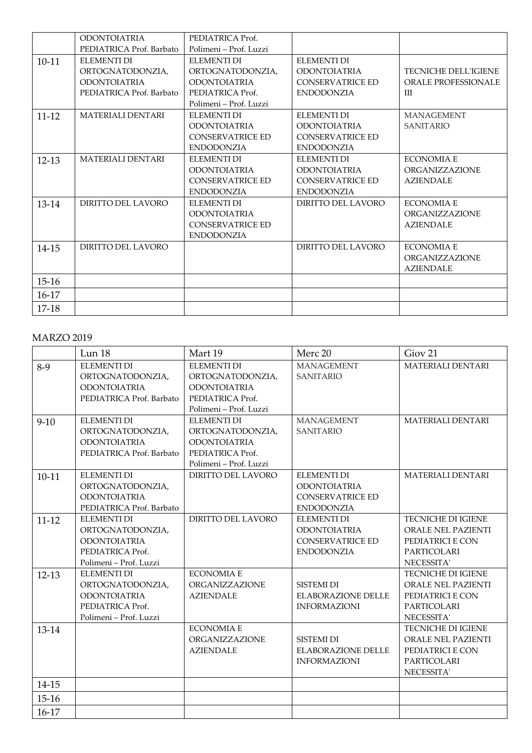|           | <b>ODONTOIATRIA</b>      | PEDIATRICA Prof.        |                         |                             |
|-----------|--------------------------|-------------------------|-------------------------|-----------------------------|
|           | PEDIATRICA Prof. Barbato | Polimeni - Prof. Luzzi  |                         |                             |
| $10 - 11$ | ELEMENTI DI              | ELEMENTI DI             | <b>ELEMENTI DI</b>      |                             |
|           | ORTOGNATODONZIA,         | ORTOGNATODONZIA.        | <b>ODONTOIATRIA</b>     | <b>TECNICHE DELL'IGIENE</b> |
|           | <b>ODONTOIATRIA</b>      | <b>ODONTOIATRIA</b>     | <b>CONSERVATRICE ED</b> | <b>ORALE PROFESSIONALE</b>  |
|           | PEDIATRICA Prof. Barbato | PEDIATRICA Prof.        | <b>ENDODONZIA</b>       | Ш                           |
|           |                          | Polimeni – Prof. Luzzi  |                         |                             |
| $11 - 12$ | <b>MATERIALI DENTARI</b> | <b>ELEMENTI DI</b>      | <b>ELEMENTI DI</b>      | <b>MANAGEMENT</b>           |
|           |                          | <b>ODONTOIATRIA</b>     | <b>ODONTOIATRIA</b>     | <b>SANITARIO</b>            |
|           |                          | <b>CONSERVATRICE ED</b> | <b>CONSERVATRICE ED</b> |                             |
|           |                          | <b>ENDODONZIA</b>       | <b>ENDODONZIA</b>       |                             |
| $12 - 13$ | <b>MATERIALI DENTARI</b> | ELEMENTI DI             | ELEMENTI DI             | <b>ECONOMIA E</b>           |
|           |                          | <b>ODONTOIATRIA</b>     | <b>ODONTOIATRIA</b>     | ORGANIZZAZIONE              |
|           |                          | <b>CONSERVATRICE ED</b> | <b>CONSERVATRICE ED</b> | <b>AZIENDALE</b>            |
|           |                          | <b>ENDODONZIA</b>       | <b>ENDODONZIA</b>       |                             |
| 13-14     | DIRITTO DEL LAVORO       | ELEMENTI DI             | DIRITTO DEL LAVORO      | <b>ECONOMIA E</b>           |
|           |                          | <b>ODONTOIATRIA</b>     |                         | ORGANIZZAZIONE              |
|           |                          | <b>CONSERVATRICE ED</b> |                         | <b>AZIENDALE</b>            |
|           |                          | <b>ENDODONZIA</b>       |                         |                             |
| 14-15     | DIRITTO DEL LAVORO       |                         | DIRITTO DEL LAVORO      | <b>ECONOMIA E</b>           |
|           |                          |                         |                         | ORGANIZZAZIONE              |
|           |                          |                         |                         | <b>AZIENDALE</b>            |
| $15-16$   |                          |                         |                         |                             |
| $16-17$   |                          |                         |                         |                             |
| 17-18     |                          |                         |                         |                             |

#### MARZO 2019

|           | Lun 18                                                                                                      | Mart 19                                                                                                     | Merc 20                                                                                   | Giov <sub>21</sub>                                                                               |
|-----------|-------------------------------------------------------------------------------------------------------------|-------------------------------------------------------------------------------------------------------------|-------------------------------------------------------------------------------------------|--------------------------------------------------------------------------------------------------|
| $8-9$     | <b>ELEMENTI DI</b><br>ORTOGNATODONZIA,<br><b>ODONTOIATRIA</b><br>PEDIATRICA Prof. Barbato                   | <b>ELEMENTI DI</b><br>ORTOGNATODONZIA,<br><b>ODONTOIATRIA</b><br>PEDIATRICA Prof.<br>Polimeni – Prof. Luzzi | <b>MANAGEMENT</b><br><b>SANITARIO</b>                                                     | <b>MATERIALI DENTARI</b>                                                                         |
| $9 - 10$  | <b>ELEMENTI DI</b><br>ORTOGNATODONZIA,<br><b>ODONTOIATRIA</b><br>PEDIATRICA Prof. Barbato                   | <b>ELEMENTI DI</b><br>ORTOGNATODONZIA,<br><b>ODONTOIATRIA</b><br>PEDIATRICA Prof.<br>Polimeni - Prof. Luzzi | <b>MANAGEMENT</b><br><b>SANITARIO</b>                                                     | MATERIALI DENTARI                                                                                |
| $10-11$   | <b>ELEMENTI DI</b><br>ORTOGNATODONZIA,<br><b>ODONTOIATRIA</b><br>PEDIATRICA Prof. Barbato                   | DIRITTO DEL LAVORO                                                                                          | <b>ELEMENTI DI</b><br><b>ODONTOIATRIA</b><br><b>CONSERVATRICE ED</b><br><b>ENDODONZIA</b> | <b>MATERIALI DENTARI</b>                                                                         |
| $11 - 12$ | <b>ELEMENTI DI</b><br>ORTOGNATODONZIA,<br><b>ODONTOIATRIA</b><br>PEDIATRICA Prof.<br>Polimeni - Prof. Luzzi | DIRITTO DEL LAVORO                                                                                          | <b>ELEMENTI DI</b><br><b>ODONTOIATRIA</b><br><b>CONSERVATRICE ED</b><br><b>ENDODONZIA</b> | TECNICHE DI IGIENE<br>ORALE NEL PAZIENTI<br>PEDIATRICI E CON<br><b>PARTICOLARI</b><br>NECESSITA' |
| $12 - 13$ | <b>ELEMENTI DI</b><br>ORTOGNATODONZIA,<br><b>ODONTOIATRIA</b><br>PEDIATRICA Prof.<br>Polimeni - Prof. Luzzi | <b>ECONOMIA E</b><br>ORGANIZZAZIONE<br><b>AZIENDALE</b>                                                     | SISTEMI DI<br><b>ELABORAZIONE DELLE</b><br><b>INFORMAZIONI</b>                            | <b>TECNICHE DI IGIENE</b><br>ORALE NEL PAZIENTI<br>PEDIATRICI E CON<br>PARTICOLARI<br>NECESSITA' |
| 13-14     |                                                                                                             | <b>ECONOMIA E</b><br>ORGANIZZAZIONE<br><b>AZIENDALE</b>                                                     | <b>SISTEMI DI</b><br><b>ELABORAZIONE DELLE</b><br><b>INFORMAZIONI</b>                     | TECNICHE DI IGIENE<br>ORALE NEL PAZIENTI<br>PEDIATRICI E CON<br>PARTICOLARI<br>NECESSITA'        |
| 14-15     |                                                                                                             |                                                                                                             |                                                                                           |                                                                                                  |
| $15 - 16$ |                                                                                                             |                                                                                                             |                                                                                           |                                                                                                  |
| 16-17     |                                                                                                             |                                                                                                             |                                                                                           |                                                                                                  |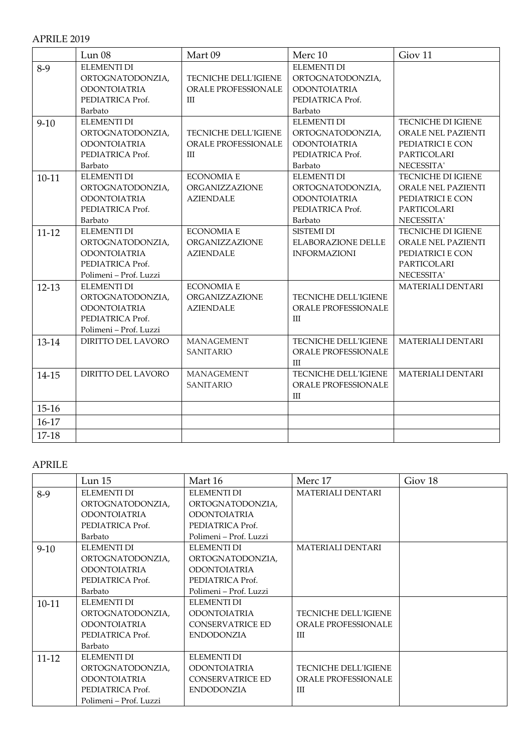### APRILE 2019

|           | Lun <sub>08</sub>      | Mart 09                    | Merc 10                     | Giov <sub>11</sub>       |
|-----------|------------------------|----------------------------|-----------------------------|--------------------------|
| $8-9$     | <b>ELEMENTI DI</b>     |                            | <b>ELEMENTI DI</b>          |                          |
|           | ORTOGNATODONZIA,       | TECNICHE DELL'IGIENE       | ORTOGNATODONZIA,            |                          |
|           | <b>ODONTOIATRIA</b>    | ORALE PROFESSIONALE        | <b>ODONTOIATRIA</b>         |                          |
|           | PEDIATRICA Prof.       | Ш                          | PEDIATRICA Prof.            |                          |
|           | Barbato                |                            | Barbato                     |                          |
| $9-10$    | <b>ELEMENTI DI</b>     |                            | <b>ELEMENTI DI</b>          | TECNICHE DI IGIENE       |
|           | ORTOGNATODONZIA,       | TECNICHE DELL'IGIENE       | ORTOGNATODONZIA,            | ORALE NEL PAZIENTI       |
|           | <b>ODONTOIATRIA</b>    | <b>ORALE PROFESSIONALE</b> | <b>ODONTOIATRIA</b>         | PEDIATRICI E CON         |
|           | PEDIATRICA Prof.       | Ш                          | PEDIATRICA Prof.            | PARTICOLARI              |
|           | Barbato                |                            | Barbato                     | NECESSITA'               |
| $10 - 11$ | <b>ELEMENTI DI</b>     | <b>ECONOMIA E</b>          | <b>ELEMENTI DI</b>          | TECNICHE DI IGIENE       |
|           | ORTOGNATODONZIA,       | ORGANIZZAZIONE             | ORTOGNATODONZIA,            | ORALE NEL PAZIENTI       |
|           | <b>ODONTOIATRIA</b>    | <b>AZIENDALE</b>           | <b>ODONTOIATRIA</b>         | PEDIATRICI E CON         |
|           | PEDIATRICA Prof.       |                            | PEDIATRICA Prof.            | PARTICOLARI              |
|           | Barbato                |                            | Barbato                     | NECESSITA'               |
| $11 - 12$ | <b>ELEMENTI DI</b>     | <b>ECONOMIA E</b>          | <b>SISTEMI DI</b>           | TECNICHE DI IGIENE       |
|           | ORTOGNATODONZIA,       | ORGANIZZAZIONE             | <b>ELABORAZIONE DELLE</b>   | ORALE NEL PAZIENTI       |
|           | <b>ODONTOIATRIA</b>    | <b>AZIENDALE</b>           | <b>INFORMAZIONI</b>         | PEDIATRICI E CON         |
|           | PEDIATRICA Prof.       |                            |                             | PARTICOLARI              |
|           | Polimeni - Prof. Luzzi |                            |                             | NECESSITA'               |
| $12 - 13$ | <b>ELEMENTI DI</b>     | <b>ECONOMIA E</b>          |                             | <b>MATERIALI DENTARI</b> |
|           | ORTOGNATODONZIA,       | ORGANIZZAZIONE             | <b>TECNICHE DELL'IGIENE</b> |                          |
|           | <b>ODONTOIATRIA</b>    | <b>AZIENDALE</b>           | ORALE PROFESSIONALE         |                          |
|           | PEDIATRICA Prof.       |                            | Ш                           |                          |
|           | Polimeni - Prof. Luzzi |                            |                             |                          |
| 13-14     | DIRITTO DEL LAVORO     | <b>MANAGEMENT</b>          | TECNICHE DELL'IGIENE        | <b>MATERIALI DENTARI</b> |
|           |                        | <b>SANITARIO</b>           | <b>ORALE PROFESSIONALE</b>  |                          |
|           |                        |                            | Ш                           |                          |
| 14-15     | DIRITTO DEL LAVORO     | <b>MANAGEMENT</b>          | TECNICHE DELL'IGIENE        | <b>MATERIALI DENTARI</b> |
|           |                        | <b>SANITARIO</b>           | <b>ORALE PROFESSIONALE</b>  |                          |
|           |                        |                            | Ш                           |                          |
| $15 - 16$ |                        |                            |                             |                          |
| $16-17$   |                        |                            |                             |                          |
| $17 - 18$ |                        |                            |                             |                          |

# APRILE

|           | Lun <sub>15</sub>      | Mart 16                 | Merc 17                     | Giov <sub>18</sub> |
|-----------|------------------------|-------------------------|-----------------------------|--------------------|
| $8-9$     | <b>ELEMENTI DI</b>     | ELEMENTI DI             | <b>MATERIALI DENTARI</b>    |                    |
|           | ORTOGNATODONZIA,       | ORTOGNATODONZIA,        |                             |                    |
|           | <b>ODONTOIATRIA</b>    | <b>ODONTOIATRIA</b>     |                             |                    |
|           | PEDIATRICA Prof.       | PEDIATRICA Prof.        |                             |                    |
|           | <b>Barbato</b>         | Polimeni – Prof. Luzzi  |                             |                    |
| $9-10$    | ELEMENTI DI            | ELEMENTI DI             | <b>MATERIALI DENTARI</b>    |                    |
|           | ORTOGNATODONZIA,       | ORTOGNATODONZIA,        |                             |                    |
|           | <b>ODONTOIATRIA</b>    | <b>ODONTOIATRIA</b>     |                             |                    |
|           | PEDIATRICA Prof.       | PEDIATRICA Prof.        |                             |                    |
|           | Barbato                | Polimeni – Prof. Luzzi  |                             |                    |
| $10-11$   | ELEMENTI DI            | <b>ELEMENTI DI</b>      |                             |                    |
|           | ORTOGNATODONZIA,       | <b>ODONTOIATRIA</b>     | <b>TECNICHE DELL'IGIENE</b> |                    |
|           | <b>ODONTOIATRIA</b>    | <b>CONSERVATRICE ED</b> | <b>ORALE PROFESSIONALE</b>  |                    |
|           | PEDIATRICA Prof.       | <b>ENDODONZIA</b>       | ΠI                          |                    |
|           | Barbato                |                         |                             |                    |
| $11 - 12$ | ELEMENTI DI            | <b>ELEMENTI DI</b>      |                             |                    |
|           | ORTOGNATODONZIA,       | <b>ODONTOIATRIA</b>     | <b>TECNICHE DELL'IGIENE</b> |                    |
|           | <b>ODONTOIATRIA</b>    | <b>CONSERVATRICE ED</b> | <b>ORALE PROFESSIONALE</b>  |                    |
|           | PEDIATRICA Prof.       | <b>ENDODONZIA</b>       | Ш                           |                    |
|           | Polimeni – Prof. Luzzi |                         |                             |                    |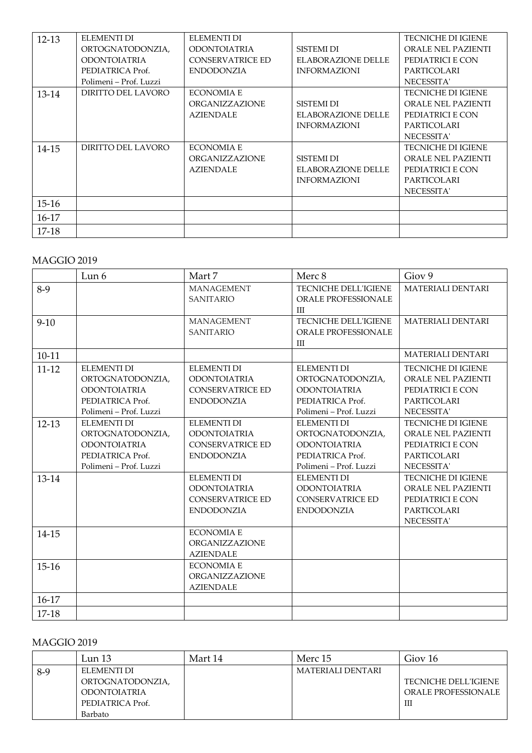| $12 - 13$ | ELEMENTI DI<br>ORTOGNATODONZIA, | ELEMENTI DI<br><b>ODONTOIATRIA</b> | <b>SISTEMI DI</b>   | <b>TECNICHE DI IGIENE</b><br>ORALE NEL PAZIENTI |
|-----------|---------------------------------|------------------------------------|---------------------|-------------------------------------------------|
|           | <b>ODONTOIATRIA</b>             | <b>CONSERVATRICE ED</b>            | ELABORAZIONE DELLE  | PEDIATRICI E CON                                |
|           | PEDIATRICA Prof.                | <b>ENDODONZIA</b>                  | <b>INFORMAZIONI</b> | <b>PARTICOLARI</b>                              |
|           | Polimeni – Prof. Luzzi          |                                    |                     | NECESSITA'                                      |
| 13-14     | DIRITTO DEL LAVORO              | <b>ECONOMIA E</b>                  |                     | <b>TECNICHE DI IGIENE</b>                       |
|           |                                 | <b>ORGANIZZAZIONE</b>              | <b>SISTEMI DI</b>   | ORALE NEL PAZIENTI                              |
|           |                                 | <b>AZIENDALE</b>                   | ELABORAZIONE DELLE  | PEDIATRICI E CON                                |
|           |                                 |                                    | <b>INFORMAZIONI</b> | <b>PARTICOLARI</b>                              |
|           |                                 |                                    |                     | NECESSITA'                                      |
| 14-15     | DIRITTO DEL LAVORO              | <b>ECONOMIA E</b>                  |                     | <b>TECNICHE DI IGIENE</b>                       |
|           |                                 | ORGANIZZAZIONE                     | <b>SISTEMI DI</b>   | ORALE NEL PAZIENTI                              |
|           |                                 | <b>AZIENDALE</b>                   | ELABORAZIONE DELLE  | PEDIATRICI E CON                                |
|           |                                 |                                    | <b>INFORMAZIONI</b> | <b>PARTICOLARI</b>                              |
|           |                                 |                                    |                     | NECESSITA'                                      |
| $15 - 16$ |                                 |                                    |                     |                                                 |
| $16-17$   |                                 |                                    |                     |                                                 |
| 17-18     |                                 |                                    |                     |                                                 |

### MAGGIO 2019

|           | Lun 6                                                                                                       | Mart 7                                                                                    | Merc 8                                                                                                      | Giov <sub>9</sub>                                                                                       |
|-----------|-------------------------------------------------------------------------------------------------------------|-------------------------------------------------------------------------------------------|-------------------------------------------------------------------------------------------------------------|---------------------------------------------------------------------------------------------------------|
| $8-9$     |                                                                                                             | <b>MANAGEMENT</b><br><b>SANITARIO</b>                                                     | <b>TECNICHE DELL'IGIENE</b><br><b>ORALE PROFESSIONALE</b><br>Ш                                              | <b>MATERIALI DENTARI</b>                                                                                |
| $9-10$    |                                                                                                             | <b>MANAGEMENT</b><br><b>SANITARIO</b>                                                     | TECNICHE DELL'IGIENE<br><b>ORALE PROFESSIONALE</b><br>Ш                                                     | MATERIALI DENTARI                                                                                       |
| $10 - 11$ |                                                                                                             |                                                                                           |                                                                                                             | <b>MATERIALI DENTARI</b>                                                                                |
| $11 - 12$ | <b>ELEMENTI DI</b><br>ORTOGNATODONZIA,<br><b>ODONTOIATRIA</b><br>PEDIATRICA Prof.<br>Polimeni – Prof. Luzzi | <b>ELEMENTI DI</b><br><b>ODONTOIATRIA</b><br><b>CONSERVATRICE ED</b><br><b>ENDODONZIA</b> | <b>ELEMENTI DI</b><br>ORTOGNATODONZIA,<br><b>ODONTOIATRIA</b><br>PEDIATRICA Prof.<br>Polimeni – Prof. Luzzi | <b>TECNICHE DI IGIENE</b><br>ORALE NEL PAZIENTI<br>PEDIATRICI E CON<br>PARTICOLARI<br>NECESSITA'        |
| $12 - 13$ | ELEMENTI DI<br>ORTOGNATODONZIA,<br><b>ODONTOIATRIA</b><br>PEDIATRICA Prof.<br>Polimeni – Prof. Luzzi        | <b>ELEMENTI DI</b><br><b>ODONTOIATRIA</b><br><b>CONSERVATRICE ED</b><br><b>ENDODONZIA</b> | <b>ELEMENTI DI</b><br>ORTOGNATODONZIA,<br><b>ODONTOIATRIA</b><br>PEDIATRICA Prof.<br>Polimeni - Prof. Luzzi | <b>TECNICHE DI IGIENE</b><br>ORALE NEL PAZIENTI<br>PEDIATRICI E CON<br><b>PARTICOLARI</b><br>NECESSITA' |
| $13-14$   |                                                                                                             | <b>ELEMENTI DI</b><br><b>ODONTOIATRIA</b><br><b>CONSERVATRICE ED</b><br><b>ENDODONZIA</b> | <b>ELEMENTI DI</b><br><b>ODONTOIATRIA</b><br><b>CONSERVATRICE ED</b><br><b>ENDODONZIA</b>                   | <b>TECNICHE DI IGIENE</b><br>ORALE NEL PAZIENTI<br>PEDIATRICI E CON<br>PARTICOLARI<br>NECESSITA'        |
| 14-15     |                                                                                                             | <b>ECONOMIA E</b><br>ORGANIZZAZIONE<br><b>AZIENDALE</b>                                   |                                                                                                             |                                                                                                         |
| $15 - 16$ |                                                                                                             | <b>ECONOMIA E</b><br>ORGANIZZAZIONE<br><b>AZIENDALE</b>                                   |                                                                                                             |                                                                                                         |
| 16-17     |                                                                                                             |                                                                                           |                                                                                                             |                                                                                                         |
| $17-18$   |                                                                                                             |                                                                                           |                                                                                                             |                                                                                                         |

## MAGGIO 2019

|       | Lun 13              | Mart 14 | Merc 15           | Giov 16                     |
|-------|---------------------|---------|-------------------|-----------------------------|
| $8-9$ | ELEMENTI DI         |         | MATERIALI DENTARI |                             |
|       | ORTOGNATODONZIA,    |         |                   | <b>TECNICHE DELL'IGIENE</b> |
|       | <b>ODONTOJATRIA</b> |         |                   | ORALE PROFESSIONALE         |
|       | PEDIATRICA Prof.    |         |                   | Ш                           |
|       | Barbato             |         |                   |                             |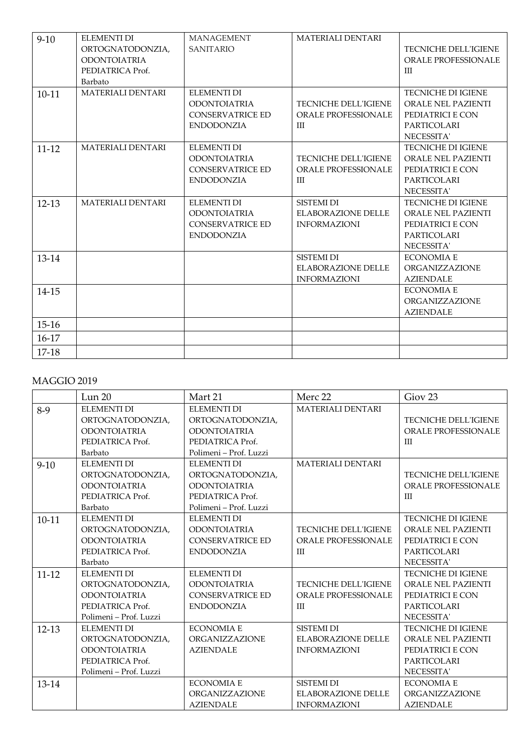| $9-10$    | <b>ELEMENTI DI</b>       | MANAGEMENT              | <b>MATERIALI DENTARI</b>    |                             |
|-----------|--------------------------|-------------------------|-----------------------------|-----------------------------|
|           | ORTOGNATODONZIA,         | <b>SANITARIO</b>        |                             | <b>TECNICHE DELL'IGIENE</b> |
|           | <b>ODONTOIATRIA</b>      |                         |                             | <b>ORALE PROFESSIONALE</b>  |
|           | PEDIATRICA Prof.         |                         |                             | Ш                           |
|           | Barbato                  |                         |                             |                             |
| $10 - 11$ | <b>MATERIALI DENTARI</b> | <b>ELEMENTI DI</b>      |                             | <b>TECNICHE DI IGIENE</b>   |
|           |                          | <b>ODONTOIATRIA</b>     | <b>TECNICHE DELL'IGIENE</b> | <b>ORALE NEL PAZIENTI</b>   |
|           |                          | <b>CONSERVATRICE ED</b> | <b>ORALE PROFESSIONALE</b>  | PEDIATRICI E CON            |
|           |                          | <b>ENDODONZIA</b>       | Ш                           | PARTICOLARI                 |
|           |                          |                         |                             | NECESSITA'                  |
| $11 - 12$ | <b>MATERIALI DENTARI</b> | <b>ELEMENTI DI</b>      |                             | <b>TECNICHE DI IGIENE</b>   |
|           |                          | <b>ODONTOIATRIA</b>     | <b>TECNICHE DELL'IGIENE</b> | ORALE NEL PAZIENTI          |
|           |                          | <b>CONSERVATRICE ED</b> | <b>ORALE PROFESSIONALE</b>  | PEDIATRICI E CON            |
|           |                          | <b>ENDODONZIA</b>       | Ш                           | PARTICOLARI                 |
|           |                          |                         |                             | NECESSITA'                  |
| $12 - 13$ | <b>MATERIALI DENTARI</b> | <b>ELEMENTI DI</b>      | SISTEMI DI                  | <b>TECNICHE DI IGIENE</b>   |
|           |                          | <b>ODONTOIATRIA</b>     | <b>ELABORAZIONE DELLE</b>   | ORALE NEL PAZIENTI          |
|           |                          | <b>CONSERVATRICE ED</b> | <b>INFORMAZIONI</b>         | PEDIATRICI E CON            |
|           |                          | <b>ENDODONZIA</b>       |                             | <b>PARTICOLARI</b>          |
|           |                          |                         |                             | NECESSITA'                  |
| 13-14     |                          |                         | SISTEMI DI                  | <b>ECONOMIA E</b>           |
|           |                          |                         | <b>ELABORAZIONE DELLE</b>   | <b>ORGANIZZAZIONE</b>       |
|           |                          |                         | <b>INFORMAZIONI</b>         | <b>AZIENDALE</b>            |
| 14-15     |                          |                         |                             | <b>ECONOMIA E</b>           |
|           |                          |                         |                             | ORGANIZZAZIONE              |
|           |                          |                         |                             | <b>AZIENDALE</b>            |
| $15-16$   |                          |                         |                             |                             |
| 16-17     |                          |                         |                             |                             |
| $17-18$   |                          |                         |                             |                             |

### MAGGIO 2019

|           | Lun 20                 | Mart 21                 | Merc 22                     | Giov <sub>23</sub>          |
|-----------|------------------------|-------------------------|-----------------------------|-----------------------------|
| $8-9$     | <b>ELEMENTI DI</b>     | <b>ELEMENTI DI</b>      | <b>MATERIALI DENTARI</b>    |                             |
|           | ORTOGNATODONZIA,       | ORTOGNATODONZIA,        |                             | TECNICHE DELL'IGIENE        |
|           | <b>ODONTOIATRIA</b>    | <b>ODONTOIATRIA</b>     |                             | ORALE PROFESSIONALE         |
|           | PEDIATRICA Prof.       | PEDIATRICA Prof.        |                             | Ш                           |
|           | Barbato                | Polimeni – Prof. Luzzi  |                             |                             |
| $9-10$    | <b>ELEMENTI DI</b>     | <b>ELEMENTI DI</b>      | <b>MATERIALI DENTARI</b>    |                             |
|           | ORTOGNATODONZIA,       | ORTOGNATODONZIA,        |                             | <b>TECNICHE DELL'IGIENE</b> |
|           | <b>ODONTOIATRIA</b>    | <b>ODONTOIATRIA</b>     |                             | ORALE PROFESSIONALE         |
|           | PEDIATRICA Prof.       | PEDIATRICA Prof.        |                             | Ш                           |
|           | Barbato                | Polimeni – Prof. Luzzi  |                             |                             |
| $10 - 11$ | ELEMENTI DI            | <b>ELEMENTI DI</b>      |                             | <b>TECNICHE DI IGIENE</b>   |
|           | ORTOGNATODONZIA,       | <b>ODONTOIATRIA</b>     | TECNICHE DELL'IGIENE        | ORALE NEL PAZIENTI          |
|           | <b>ODONTOIATRIA</b>    | <b>CONSERVATRICE ED</b> | <b>ORALE PROFESSIONALE</b>  | PEDIATRICI E CON            |
|           | PEDIATRICA Prof.       | <b>ENDODONZIA</b>       | Ш                           | PARTICOLARI                 |
|           | Barbato                |                         |                             | NECESSITA'                  |
| $11 - 12$ | <b>ELEMENTI DI</b>     | <b>ELEMENTI DI</b>      |                             | <b>TECNICHE DI IGIENE</b>   |
|           | ORTOGNATODONZIA,       | <b>ODONTOIATRIA</b>     | <b>TECNICHE DELL'IGIENE</b> | ORALE NEL PAZIENTI          |
|           | <b>ODONTOIATRIA</b>    | <b>CONSERVATRICE ED</b> | <b>ORALE PROFESSIONALE</b>  | PEDIATRICI E CON            |
|           | PEDIATRICA Prof.       | <b>ENDODONZIA</b>       | Ш                           | <b>PARTICOLARI</b>          |
|           | Polimeni - Prof. Luzzi |                         |                             | NECESSITA'                  |
| $12 - 13$ | <b>ELEMENTI DI</b>     | <b>ECONOMIA E</b>       | <b>SISTEMI DI</b>           | TECNICHE DI IGIENE          |
|           | ORTOGNATODONZIA,       | ORGANIZZAZIONE          | <b>ELABORAZIONE DELLE</b>   | ORALE NEL PAZIENTI          |
|           | <b>ODONTOIATRIA</b>    | <b>AZIENDALE</b>        | <b>INFORMAZIONI</b>         | PEDIATRICI E CON            |
|           | PEDIATRICA Prof.       |                         |                             | PARTICOLARI                 |
|           | Polimeni – Prof. Luzzi |                         |                             | NECESSITA'                  |
| 13-14     |                        | <b>ECONOMIA E</b>       | <b>SISTEMI DI</b>           | <b>ECONOMIA E</b>           |
|           |                        | <b>ORGANIZZAZIONE</b>   | <b>ELABORAZIONE DELLE</b>   | ORGANIZZAZIONE              |
|           |                        | <b>AZIENDALE</b>        | <b>INFORMAZIONI</b>         | <b>AZIENDALE</b>            |